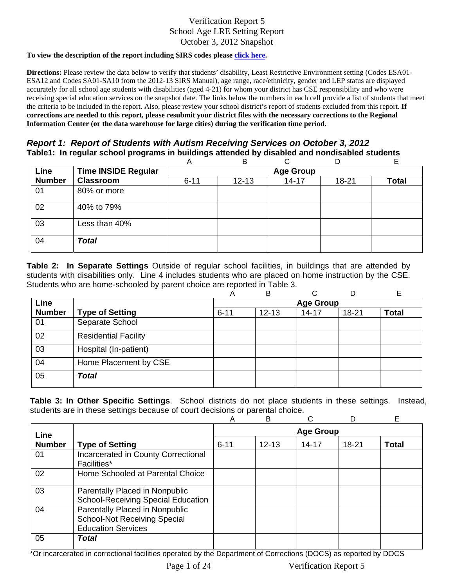#### **To view the description of the report including SIRS codes please click here.**

**Directions:** Please review the data below to verify that students' disability, Least Restrictive Environment setting (Codes ESA01- ESA12 and Codes SA01-SA10 from the 2012-13 SIRS Manual), age range, race/ethnicity, gender and LEP status are displayed accurately for all school age students with disabilities (aged 4-21) for whom your district has CSE responsibility and who were receiving special education services on the snapshot date. The links below the numbers in each cell provide a list of students that meet the criteria to be included in the report. Also, please review your school district's report of students excluded from this report. **If corrections are needed to this report, please resubmit your district files with the necessary corrections to the Regional Information Center (or the data warehouse for large cities) during the verification time period.**

## *Report 1: Report of Students with Autism Receiving Services on October 3, 2012* **Table1: In regular school programs in buildings attended by disabled and nondisabled students**

|               |                            | A        | B                |           | D     | F            |  |  |  |  |
|---------------|----------------------------|----------|------------------|-----------|-------|--------------|--|--|--|--|
| Line          | <b>Time INSIDE Regular</b> |          | <b>Age Group</b> |           |       |              |  |  |  |  |
| <b>Number</b> | <b>Classroom</b>           | $6 - 11$ | $12 - 13$        | $14 - 17$ | 18-21 | <b>Total</b> |  |  |  |  |
| 01            | 80% or more                |          |                  |           |       |              |  |  |  |  |
| 02            | 40% to 79%                 |          |                  |           |       |              |  |  |  |  |
| 03            | Less than 40%              |          |                  |           |       |              |  |  |  |  |
| 04            | <b>Total</b>               |          |                  |           |       |              |  |  |  |  |

**Table 2: In Separate Settings** Outside of regular school facilities, in buildings that are attended by students with disabilities only. Line 4 includes students who are placed on home instruction by the CSE. Students who are home-schooled by parent choice are reported in Table 3.

|               |                             | А                | B         | ⌒         |       | E            |  |  |
|---------------|-----------------------------|------------------|-----------|-----------|-------|--------------|--|--|
| Line          |                             | <b>Age Group</b> |           |           |       |              |  |  |
| <b>Number</b> | <b>Type of Setting</b>      | $6 - 11$         | $12 - 13$ | $14 - 17$ | 18-21 | <b>Total</b> |  |  |
| 01            | Separate School             |                  |           |           |       |              |  |  |
| 02            | <b>Residential Facility</b> |                  |           |           |       |              |  |  |
| 03            | Hospital (In-patient)       |                  |           |           |       |              |  |  |
| 04            | Home Placement by CSE       |                  |           |           |       |              |  |  |
| 05            | <b>Total</b>                |                  |           |           |       |              |  |  |

**Table 3: In Other Specific Settings**. School districts do not place students in these settings. Instead, students are in these settings because of court decisions or parental choice.

|               |                                                                                                    | Α                | в         |       |           | Е            |  |
|---------------|----------------------------------------------------------------------------------------------------|------------------|-----------|-------|-----------|--------------|--|
| Line          |                                                                                                    | <b>Age Group</b> |           |       |           |              |  |
| <b>Number</b> | <b>Type of Setting</b>                                                                             | $6 - 11$         | $12 - 13$ | 14-17 | $18 - 21$ | <b>Total</b> |  |
| 01            | Incarcerated in County Correctional<br>Facilities*                                                 |                  |           |       |           |              |  |
| 02            | Home Schooled at Parental Choice                                                                   |                  |           |       |           |              |  |
| 03            | Parentally Placed in Nonpublic<br><b>School-Receiving Special Education</b>                        |                  |           |       |           |              |  |
| 04            | Parentally Placed in Nonpublic<br><b>School-Not Receiving Special</b><br><b>Education Services</b> |                  |           |       |           |              |  |
| 05            | Total                                                                                              |                  |           |       |           |              |  |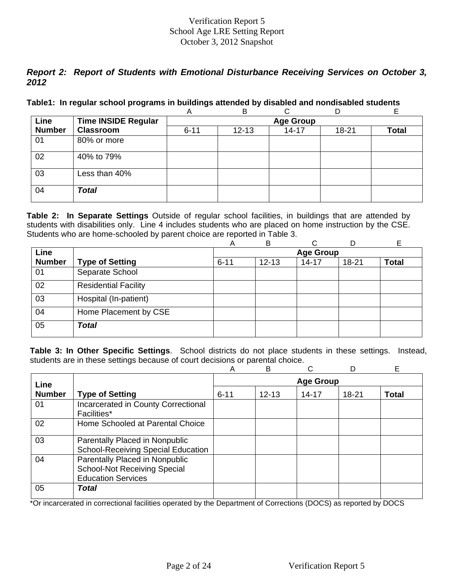# *Report 2: Report of Students with Emotional Disturbance Receiving Services on October 3, 2012*

### **Table1: In regular school programs in buildings attended by disabled and nondisabled students**

|               |                            | A        | B                |           | D         |       |  |  |  |  |
|---------------|----------------------------|----------|------------------|-----------|-----------|-------|--|--|--|--|
| Line          | <b>Time INSIDE Regular</b> |          | <b>Age Group</b> |           |           |       |  |  |  |  |
| <b>Number</b> | <b>Classroom</b>           | $6 - 11$ | $12 - 13$        | $14 - 17$ | $18 - 21$ | Total |  |  |  |  |
| 01            | 80% or more                |          |                  |           |           |       |  |  |  |  |
| 02            | 40% to 79%                 |          |                  |           |           |       |  |  |  |  |
| 03            | Less than 40%              |          |                  |           |           |       |  |  |  |  |
| 04            | <b>Total</b>               |          |                  |           |           |       |  |  |  |  |

**Table 2: In Separate Settings** Outside of regular school facilities, in buildings that are attended by students with disabilities only. Line 4 includes students who are placed on home instruction by the CSE. Students who are home-schooled by parent choice are reported in Table 3.

|               |                             | A        | B         | C                |       | Е            |
|---------------|-----------------------------|----------|-----------|------------------|-------|--------------|
| Line          |                             |          |           | <b>Age Group</b> |       |              |
| <b>Number</b> | <b>Type of Setting</b>      | $6 - 11$ | $12 - 13$ | $14 - 17$        | 18-21 | <b>Total</b> |
| 01            | Separate School             |          |           |                  |       |              |
| 02            | <b>Residential Facility</b> |          |           |                  |       |              |
| 03            | Hospital (In-patient)       |          |           |                  |       |              |
| 04            | Home Placement by CSE       |          |           |                  |       |              |
| 05            | <b>Total</b>                |          |           |                  |       |              |

**Table 3: In Other Specific Settings**. School districts do not place students in these settings. Instead, students are in these settings because of court decisions or parental choice.

|               |                                                                                                    | Α                | B         |           |       | Е            |  |
|---------------|----------------------------------------------------------------------------------------------------|------------------|-----------|-----------|-------|--------------|--|
| Line          |                                                                                                    | <b>Age Group</b> |           |           |       |              |  |
| <b>Number</b> | <b>Type of Setting</b>                                                                             | $6 - 11$         | $12 - 13$ | $14 - 17$ | 18-21 | <b>Total</b> |  |
| 01            | Incarcerated in County Correctional<br>Facilities*                                                 |                  |           |           |       |              |  |
| 02            | Home Schooled at Parental Choice                                                                   |                  |           |           |       |              |  |
| 03            | Parentally Placed in Nonpublic<br><b>School-Receiving Special Education</b>                        |                  |           |           |       |              |  |
| 04            | Parentally Placed in Nonpublic<br><b>School-Not Receiving Special</b><br><b>Education Services</b> |                  |           |           |       |              |  |
| 05            | Total                                                                                              |                  |           |           |       |              |  |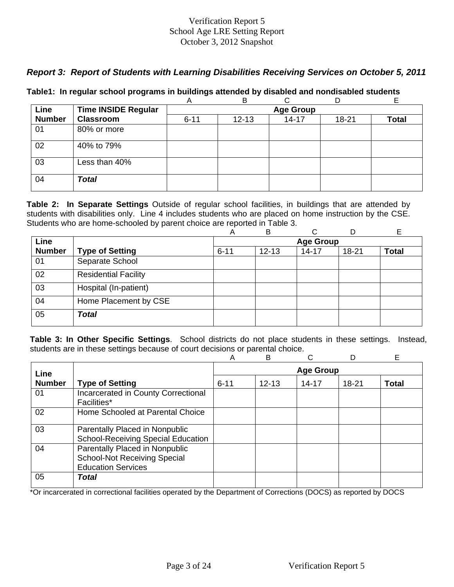# *Report 3: Report of Students with Learning Disabilities Receiving Services on October 5, 2011*

|  |  |  | Table1: In regular school programs in buildings attended by disabled and nondisabled students |  |
|--|--|--|-----------------------------------------------------------------------------------------------|--|
|  |  |  |                                                                                               |  |

|               |                            | A        | в                |           |       | E     |  |  |  |  |
|---------------|----------------------------|----------|------------------|-----------|-------|-------|--|--|--|--|
| Line          | <b>Time INSIDE Regular</b> |          | <b>Age Group</b> |           |       |       |  |  |  |  |
| <b>Number</b> | <b>Classroom</b>           | $6 - 11$ | $12 - 13$        | $14 - 17$ | 18-21 | Total |  |  |  |  |
| 01            | 80% or more                |          |                  |           |       |       |  |  |  |  |
| 02            | 40% to 79%                 |          |                  |           |       |       |  |  |  |  |
| 03            | Less than 40%              |          |                  |           |       |       |  |  |  |  |
| 04            | <b>Total</b>               |          |                  |           |       |       |  |  |  |  |

**Table 2: In Separate Settings** Outside of regular school facilities, in buildings that are attended by students with disabilities only. Line 4 includes students who are placed on home instruction by the CSE. Students who are home-schooled by parent choice are reported in Table 3.

|               |                             | А                | B         | ⌒         |       | E            |  |  |
|---------------|-----------------------------|------------------|-----------|-----------|-------|--------------|--|--|
| Line          |                             | <b>Age Group</b> |           |           |       |              |  |  |
| <b>Number</b> | <b>Type of Setting</b>      | $6 - 11$         | $12 - 13$ | $14 - 17$ | 18-21 | <b>Total</b> |  |  |
| 01            | Separate School             |                  |           |           |       |              |  |  |
| 02            | <b>Residential Facility</b> |                  |           |           |       |              |  |  |
| 03            | Hospital (In-patient)       |                  |           |           |       |              |  |  |
| 04            | Home Placement by CSE       |                  |           |           |       |              |  |  |
| 05            | <b>Total</b>                |                  |           |           |       |              |  |  |

**Table 3: In Other Specific Settings**. School districts do not place students in these settings. Instead, students are in these settings because of court decisions or parental choice.

|               |                                                                                                    | A                | B         | ⌒         |           | Е            |  |  |
|---------------|----------------------------------------------------------------------------------------------------|------------------|-----------|-----------|-----------|--------------|--|--|
| Line          |                                                                                                    | <b>Age Group</b> |           |           |           |              |  |  |
| <b>Number</b> | <b>Type of Setting</b>                                                                             | $6 - 11$         | $12 - 13$ | $14 - 17$ | $18 - 21$ | <b>Total</b> |  |  |
| 01            | Incarcerated in County Correctional<br>Facilities*                                                 |                  |           |           |           |              |  |  |
| 02            | Home Schooled at Parental Choice                                                                   |                  |           |           |           |              |  |  |
| 03            | Parentally Placed in Nonpublic<br><b>School-Receiving Special Education</b>                        |                  |           |           |           |              |  |  |
| 04            | Parentally Placed in Nonpublic<br><b>School-Not Receiving Special</b><br><b>Education Services</b> |                  |           |           |           |              |  |  |
| 05            | Total                                                                                              |                  |           |           |           |              |  |  |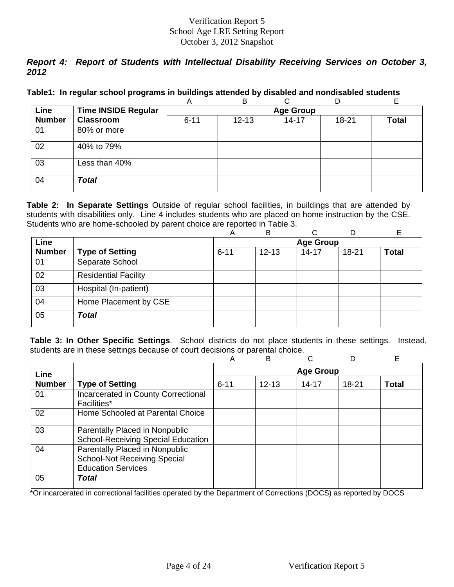# *Report 4: Report of Students with Intellectual Disability Receiving Services on October 3, 2012*

|  |  | Table1: In regular school programs in buildings attended by disabled and nondisabled students |
|--|--|-----------------------------------------------------------------------------------------------|
|  |  |                                                                                               |

|               |                            | A        | в                |           | D     | F            |  |  |  |  |
|---------------|----------------------------|----------|------------------|-----------|-------|--------------|--|--|--|--|
| Line          | <b>Time INSIDE Regular</b> |          | <b>Age Group</b> |           |       |              |  |  |  |  |
| <b>Number</b> | <b>Classroom</b>           | $6 - 11$ | $12 - 13$        | $14 - 17$ | 18-21 | <b>Total</b> |  |  |  |  |
| 01            | 80% or more                |          |                  |           |       |              |  |  |  |  |
| 02            | 40% to 79%                 |          |                  |           |       |              |  |  |  |  |
| 03            | Less than 40%              |          |                  |           |       |              |  |  |  |  |
| 04            | <b>Total</b>               |          |                  |           |       |              |  |  |  |  |

**Table 2: In Separate Settings** Outside of regular school facilities, in buildings that are attended by students with disabilities only. Line 4 includes students who are placed on home instruction by the CSE. Students who are home-schooled by parent choice are reported in Table 3.

|               |                             | A        | B         |                  |       |              |
|---------------|-----------------------------|----------|-----------|------------------|-------|--------------|
| Line          |                             |          |           | <b>Age Group</b> |       |              |
| <b>Number</b> | <b>Type of Setting</b>      | $6 - 11$ | $12 - 13$ | $14 - 17$        | 18-21 | <b>Total</b> |
| 01            | Separate School             |          |           |                  |       |              |
| 02            | <b>Residential Facility</b> |          |           |                  |       |              |
| 03            | Hospital (In-patient)       |          |           |                  |       |              |
| 04            | Home Placement by CSE       |          |           |                  |       |              |
| 05            | <b>Total</b>                |          |           |                  |       |              |

**Table 3: In Other Specific Settings**. School districts do not place students in these settings. Instead, students are in these settings because of court decisions or parental choice.

|               |                                                                                                    | Α                | B         |           |       | Е            |  |
|---------------|----------------------------------------------------------------------------------------------------|------------------|-----------|-----------|-------|--------------|--|
| Line          |                                                                                                    | <b>Age Group</b> |           |           |       |              |  |
| <b>Number</b> | <b>Type of Setting</b>                                                                             | $6 - 11$         | $12 - 13$ | $14 - 17$ | 18-21 | <b>Total</b> |  |
| 01            | Incarcerated in County Correctional<br>Facilities*                                                 |                  |           |           |       |              |  |
| 02            | Home Schooled at Parental Choice                                                                   |                  |           |           |       |              |  |
| 03            | Parentally Placed in Nonpublic<br><b>School-Receiving Special Education</b>                        |                  |           |           |       |              |  |
| 04            | Parentally Placed in Nonpublic<br><b>School-Not Receiving Special</b><br><b>Education Services</b> |                  |           |           |       |              |  |
| 05            | Total                                                                                              |                  |           |           |       |              |  |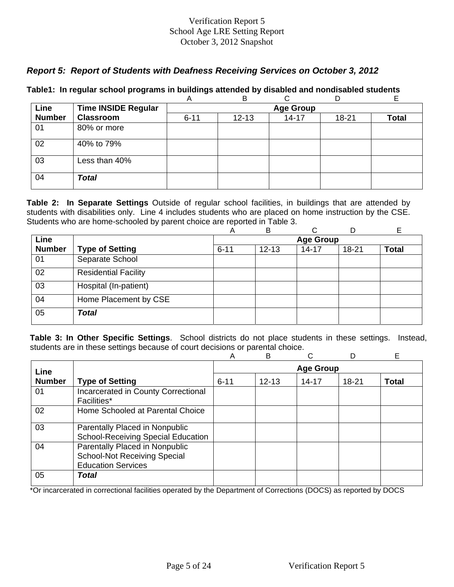# *Report 5: Report of Students with Deafness Receiving Services on October 3, 2012*

|               |                            | Α                | B         |           | D     | E            |  |  |  |
|---------------|----------------------------|------------------|-----------|-----------|-------|--------------|--|--|--|
| Line          | <b>Time INSIDE Regular</b> | <b>Age Group</b> |           |           |       |              |  |  |  |
| <b>Number</b> | <b>Classroom</b>           | $6 - 11$         | $12 - 13$ | $14 - 17$ | 18-21 | <b>Total</b> |  |  |  |
| 01            | 80% or more                |                  |           |           |       |              |  |  |  |
| 02            | 40% to 79%                 |                  |           |           |       |              |  |  |  |
| 03            | Less than 40%              |                  |           |           |       |              |  |  |  |
| 04            | <b>Total</b>               |                  |           |           |       |              |  |  |  |

## **Table1: In regular school programs in buildings attended by disabled and nondisabled students**

**Table 2: In Separate Settings** Outside of regular school facilities, in buildings that are attended by students with disabilities only. Line 4 includes students who are placed on home instruction by the CSE. Students who are home-schooled by parent choice are reported in Table 3.

|               |                             | Α        | в         | C                |           |              |
|---------------|-----------------------------|----------|-----------|------------------|-----------|--------------|
| Line          |                             |          |           | <b>Age Group</b> |           |              |
| <b>Number</b> | <b>Type of Setting</b>      | $6 - 11$ | $12 - 13$ | $14 - 17$        | $18 - 21$ | <b>Total</b> |
| 01            | Separate School             |          |           |                  |           |              |
| 02            | <b>Residential Facility</b> |          |           |                  |           |              |
| 03            | Hospital (In-patient)       |          |           |                  |           |              |
| 04            | Home Placement by CSE       |          |           |                  |           |              |
| 05            | Total                       |          |           |                  |           |              |

**Table 3: In Other Specific Settings**. School districts do not place students in these settings. Instead, students are in these settings because of court decisions or parental choice.

|               |                                                                                                    | A                | в         |           |       | E     |  |
|---------------|----------------------------------------------------------------------------------------------------|------------------|-----------|-----------|-------|-------|--|
| Line          |                                                                                                    | <b>Age Group</b> |           |           |       |       |  |
| <b>Number</b> | <b>Type of Setting</b>                                                                             | $6 - 11$         | $12 - 13$ | $14 - 17$ | 18-21 | Total |  |
| 01            | Incarcerated in County Correctional<br><b>Facilities*</b>                                          |                  |           |           |       |       |  |
| 02            | Home Schooled at Parental Choice                                                                   |                  |           |           |       |       |  |
| 03            | Parentally Placed in Nonpublic<br><b>School-Receiving Special Education</b>                        |                  |           |           |       |       |  |
| 04            | Parentally Placed in Nonpublic<br><b>School-Not Receiving Special</b><br><b>Education Services</b> |                  |           |           |       |       |  |
| 05            | Total                                                                                              |                  |           |           |       |       |  |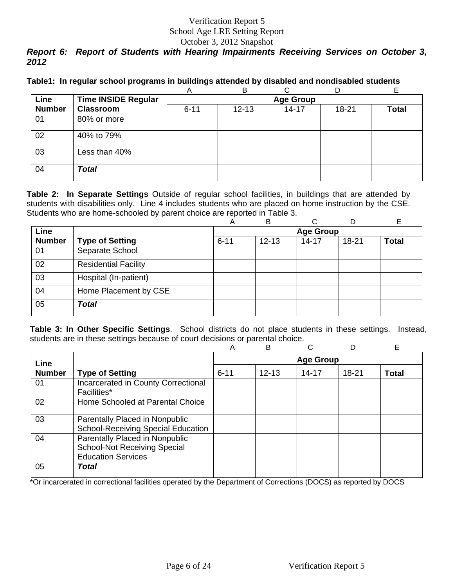# *Report 6: Report of Students with Hearing Impairments Receiving Services on October 3, 2012*

|  |  |  | Table1: In regular school programs in buildings attended by disabled and nondisabled students |
|--|--|--|-----------------------------------------------------------------------------------------------|
|  |  |  |                                                                                               |

|               |                            | A        | B                |           |       |       |  |  |  |  |
|---------------|----------------------------|----------|------------------|-----------|-------|-------|--|--|--|--|
| Line          | <b>Time INSIDE Regular</b> |          | <b>Age Group</b> |           |       |       |  |  |  |  |
| <b>Number</b> | <b>Classroom</b>           | $6 - 11$ | $12 - 13$        | $14 - 17$ | 18-21 | Total |  |  |  |  |
| 01            | 80% or more                |          |                  |           |       |       |  |  |  |  |
| 02            | 40% to 79%                 |          |                  |           |       |       |  |  |  |  |
| 03            | Less than 40%              |          |                  |           |       |       |  |  |  |  |
| 04            | <b>Total</b>               |          |                  |           |       |       |  |  |  |  |

**Table 2: In Separate Settings** Outside of regular school facilities, in buildings that are attended by students with disabilities only. Line 4 includes students who are placed on home instruction by the CSE. Students who are home-schooled by parent choice are reported in Table 3.

|               |                             | Α        | в         | C                |           |              |
|---------------|-----------------------------|----------|-----------|------------------|-----------|--------------|
| Line          |                             |          |           | <b>Age Group</b> |           |              |
| <b>Number</b> | <b>Type of Setting</b>      | $6 - 11$ | $12 - 13$ | $14 - 17$        | $18 - 21$ | <b>Total</b> |
| 01            | Separate School             |          |           |                  |           |              |
| 02            | <b>Residential Facility</b> |          |           |                  |           |              |
| 03            | Hospital (In-patient)       |          |           |                  |           |              |
| 04            | Home Placement by CSE       |          |           |                  |           |              |
| 05            | Total                       |          |           |                  |           |              |

**Table 3: In Other Specific Settings**. School districts do not place students in these settings. Instead, students are in these settings because of court decisions or parental choice.

|               |                                                                                                    | A                | B         |           | D         | Е            |  |
|---------------|----------------------------------------------------------------------------------------------------|------------------|-----------|-----------|-----------|--------------|--|
| Line          |                                                                                                    | <b>Age Group</b> |           |           |           |              |  |
| <b>Number</b> | <b>Type of Setting</b>                                                                             | $6 - 11$         | $12 - 13$ | $14 - 17$ | $18 - 21$ | <b>Total</b> |  |
| 01            | Incarcerated in County Correctional<br><b>Facilities*</b>                                          |                  |           |           |           |              |  |
| 02            | Home Schooled at Parental Choice                                                                   |                  |           |           |           |              |  |
| 03            | Parentally Placed in Nonpublic<br><b>School-Receiving Special Education</b>                        |                  |           |           |           |              |  |
| 04            | Parentally Placed in Nonpublic<br><b>School-Not Receiving Special</b><br><b>Education Services</b> |                  |           |           |           |              |  |
| 05            | Total                                                                                              |                  |           |           |           |              |  |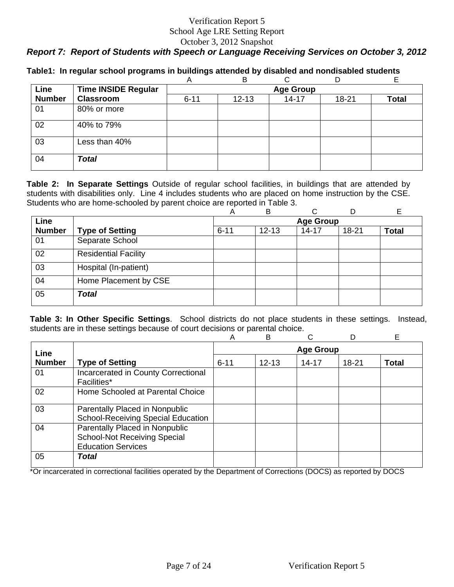# *Report 7: Report of Students with Speech or Language Receiving Services on October 3, 2012*

|               |                            | A        | B                |           | D         |              |  |  |  |
|---------------|----------------------------|----------|------------------|-----------|-----------|--------------|--|--|--|
| Line          | <b>Time INSIDE Regular</b> |          | <b>Age Group</b> |           |           |              |  |  |  |
| <b>Number</b> | <b>Classroom</b>           | $6 - 11$ | $12 - 13$        | $14 - 17$ | $18 - 21$ | <b>Total</b> |  |  |  |
| 01            | 80% or more                |          |                  |           |           |              |  |  |  |
| 02            | 40% to 79%                 |          |                  |           |           |              |  |  |  |
| 03            | Less than 40%              |          |                  |           |           |              |  |  |  |
| 04            | <b>Total</b>               |          |                  |           |           |              |  |  |  |

**Table1: In regular school programs in buildings attended by disabled and nondisabled students** 

**Table 2: In Separate Settings** Outside of regular school facilities, in buildings that are attended by students with disabilities only. Line 4 includes students who are placed on home instruction by the CSE. Students who are home-schooled by parent choice are reported in Table 3.

|               |                             | A        | В         | C                | D         |              |
|---------------|-----------------------------|----------|-----------|------------------|-----------|--------------|
| <b>Line</b>   |                             |          |           | <b>Age Group</b> |           |              |
| <b>Number</b> | <b>Type of Setting</b>      | $6 - 11$ | $12 - 13$ | $14 - 17$        | $18 - 21$ | <b>Total</b> |
| 01            | Separate School             |          |           |                  |           |              |
| 02            | <b>Residential Facility</b> |          |           |                  |           |              |
| 03            | Hospital (In-patient)       |          |           |                  |           |              |
| 04            | Home Placement by CSE       |          |           |                  |           |              |
| 05            | <b>Total</b>                |          |           |                  |           |              |

**Table 3: In Other Specific Settings**. School districts do not place students in these settings. Instead, students are in these settings because of court decisions or parental choice.

|               |                                                                                                    | Α                | в         |           |       | E            |  |  |
|---------------|----------------------------------------------------------------------------------------------------|------------------|-----------|-----------|-------|--------------|--|--|
| Line          |                                                                                                    | <b>Age Group</b> |           |           |       |              |  |  |
| <b>Number</b> | <b>Type of Setting</b>                                                                             | $6 - 11$         | $12 - 13$ | $14 - 17$ | 18-21 | <b>Total</b> |  |  |
| 01            | Incarcerated in County Correctional<br><b>Facilities*</b>                                          |                  |           |           |       |              |  |  |
| 02            | Home Schooled at Parental Choice                                                                   |                  |           |           |       |              |  |  |
| 03            | Parentally Placed in Nonpublic<br><b>School-Receiving Special Education</b>                        |                  |           |           |       |              |  |  |
| 04            | Parentally Placed in Nonpublic<br><b>School-Not Receiving Special</b><br><b>Education Services</b> |                  |           |           |       |              |  |  |
| 05            | Total                                                                                              |                  |           |           |       |              |  |  |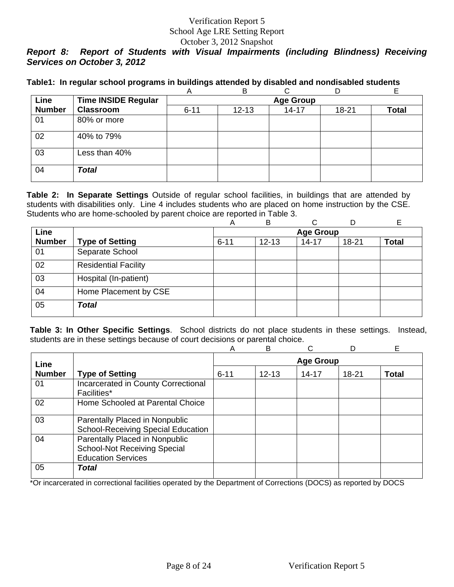# *Report 8: Report of Students with Visual Impairments (including Blindness) Receiving Services on October 3, 2012*

|  |  |  |  |  |  | Table1: In regular school programs in buildings attended by disabled and nondisabled students |
|--|--|--|--|--|--|-----------------------------------------------------------------------------------------------|
|--|--|--|--|--|--|-----------------------------------------------------------------------------------------------|

|               |                            | A        | B                |           | D     |       |  |  |  |  |
|---------------|----------------------------|----------|------------------|-----------|-------|-------|--|--|--|--|
| Line          | <b>Time INSIDE Regular</b> |          | <b>Age Group</b> |           |       |       |  |  |  |  |
| <b>Number</b> | <b>Classroom</b>           | $6 - 11$ | $12 - 13$        | $14 - 17$ | 18-21 | Total |  |  |  |  |
| 01            | 80% or more                |          |                  |           |       |       |  |  |  |  |
| 02            | 40% to 79%                 |          |                  |           |       |       |  |  |  |  |
| 03            | Less than 40%              |          |                  |           |       |       |  |  |  |  |
| 04            | <b>Total</b>               |          |                  |           |       |       |  |  |  |  |

**Table 2: In Separate Settings** Outside of regular school facilities, in buildings that are attended by students with disabilities only. Line 4 includes students who are placed on home instruction by the CSE. Students who are home-schooled by parent choice are reported in Table 3.

|               |                             | Α        | в         | C                |           |              |
|---------------|-----------------------------|----------|-----------|------------------|-----------|--------------|
| Line          |                             |          |           | <b>Age Group</b> |           |              |
| <b>Number</b> | <b>Type of Setting</b>      | $6 - 11$ | $12 - 13$ | $14 - 17$        | $18 - 21$ | <b>Total</b> |
| 01            | Separate School             |          |           |                  |           |              |
| 02            | <b>Residential Facility</b> |          |           |                  |           |              |
| 03            | Hospital (In-patient)       |          |           |                  |           |              |
| 04            | Home Placement by CSE       |          |           |                  |           |              |
| 05            | <b>Total</b>                |          |           |                  |           |              |

**Table 3: In Other Specific Settings**. School districts do not place students in these settings. Instead, students are in these settings because of court decisions or parental choice.

|               |                                                                                                    | А                | B         |           | D         | E            |  |
|---------------|----------------------------------------------------------------------------------------------------|------------------|-----------|-----------|-----------|--------------|--|
| Line          |                                                                                                    | <b>Age Group</b> |           |           |           |              |  |
| <b>Number</b> | <b>Type of Setting</b>                                                                             | $6 - 11$         | $12 - 13$ | $14 - 17$ | $18 - 21$ | <b>Total</b> |  |
| 01            | Incarcerated in County Correctional<br>Facilities*                                                 |                  |           |           |           |              |  |
| 02            | Home Schooled at Parental Choice                                                                   |                  |           |           |           |              |  |
| 03            | Parentally Placed in Nonpublic<br><b>School-Receiving Special Education</b>                        |                  |           |           |           |              |  |
| 04            | Parentally Placed in Nonpublic<br><b>School-Not Receiving Special</b><br><b>Education Services</b> |                  |           |           |           |              |  |
| 05            | Total                                                                                              |                  |           |           |           |              |  |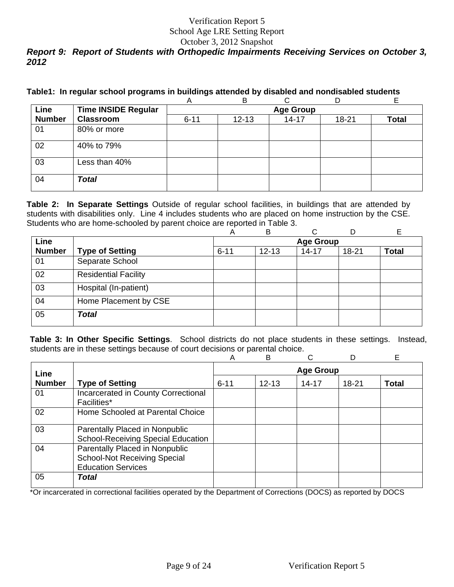# Verification Report 5 School Age LRE Setting Report

October 3, 2012 Snapshot

# *Report 9: Report of Students with Orthopedic Impairments Receiving Services on October 3, 2012*

|  |  |  |  |  |  | Table1: In regular school programs in buildings attended by disabled and nondisabled students |
|--|--|--|--|--|--|-----------------------------------------------------------------------------------------------|
|--|--|--|--|--|--|-----------------------------------------------------------------------------------------------|

|               |                            | A                | в         |           |       | E     |  |  |  |
|---------------|----------------------------|------------------|-----------|-----------|-------|-------|--|--|--|
| Line          | <b>Time INSIDE Regular</b> | <b>Age Group</b> |           |           |       |       |  |  |  |
| <b>Number</b> | <b>Classroom</b>           | $6 - 11$         | $12 - 13$ | $14 - 17$ | 18-21 | Total |  |  |  |
| 01            | 80% or more                |                  |           |           |       |       |  |  |  |
| 02            | 40% to 79%                 |                  |           |           |       |       |  |  |  |
| 03            | Less than 40%              |                  |           |           |       |       |  |  |  |
| 04            | <b>Total</b>               |                  |           |           |       |       |  |  |  |

**Table 2: In Separate Settings** Outside of regular school facilities, in buildings that are attended by students with disabilities only. Line 4 includes students who are placed on home instruction by the CSE. Students who are home-schooled by parent choice are reported in Table 3.

|               |                             | Α        | B         | ⌒                |           |              |
|---------------|-----------------------------|----------|-----------|------------------|-----------|--------------|
| Line          |                             |          |           | <b>Age Group</b> |           |              |
| <b>Number</b> | <b>Type of Setting</b>      | $6 - 11$ | $12 - 13$ | $14 - 17$        | $18 - 21$ | <b>Total</b> |
| 01            | Separate School             |          |           |                  |           |              |
| 02            | <b>Residential Facility</b> |          |           |                  |           |              |
| 03            | Hospital (In-patient)       |          |           |                  |           |              |
| 04            | Home Placement by CSE       |          |           |                  |           |              |
| 05            | <b>Total</b>                |          |           |                  |           |              |

**Table 3: In Other Specific Settings**. School districts do not place students in these settings. Instead, students are in these settings because of court decisions or parental choice.

|               |                                                                                                    | A                | B         | ◠     |           | Е            |  |  |
|---------------|----------------------------------------------------------------------------------------------------|------------------|-----------|-------|-----------|--------------|--|--|
| Line          |                                                                                                    | <b>Age Group</b> |           |       |           |              |  |  |
| <b>Number</b> | <b>Type of Setting</b>                                                                             | $6 - 11$         | $12 - 13$ | 14-17 | $18 - 21$ | <b>Total</b> |  |  |
| 01            | Incarcerated in County Correctional<br>Facilities*                                                 |                  |           |       |           |              |  |  |
| 02            | Home Schooled at Parental Choice                                                                   |                  |           |       |           |              |  |  |
| 03            | Parentally Placed in Nonpublic<br><b>School-Receiving Special Education</b>                        |                  |           |       |           |              |  |  |
| 04            | Parentally Placed in Nonpublic<br><b>School-Not Receiving Special</b><br><b>Education Services</b> |                  |           |       |           |              |  |  |
| 05            | Total                                                                                              |                  |           |       |           |              |  |  |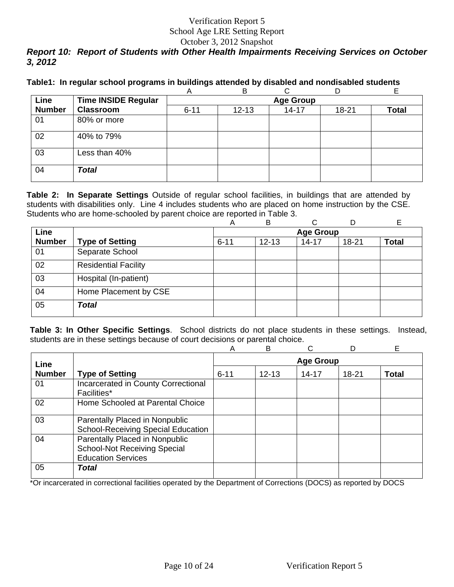# Verification Report 5 School Age LRE Setting Report

### October 3, 2012 Snapshot *Report 10: Report of Students with Other Health Impairments Receiving Services on October 3, 2012*

|  |  |  | Table1: In regular school programs in buildings attended by disabled and nondisabled students |
|--|--|--|-----------------------------------------------------------------------------------------------|
|  |  |  |                                                                                               |

|               |                            | A        | B                |           | D     |       |  |  |  |  |
|---------------|----------------------------|----------|------------------|-----------|-------|-------|--|--|--|--|
| Line          | <b>Time INSIDE Regular</b> |          | <b>Age Group</b> |           |       |       |  |  |  |  |
| <b>Number</b> | <b>Classroom</b>           | $6 - 11$ | $12 - 13$        | $14 - 17$ | 18-21 | Total |  |  |  |  |
| 01            | 80% or more                |          |                  |           |       |       |  |  |  |  |
| 02            | 40% to 79%                 |          |                  |           |       |       |  |  |  |  |
| 03            | Less than 40%              |          |                  |           |       |       |  |  |  |  |
| 04            | <b>Total</b>               |          |                  |           |       |       |  |  |  |  |

**Table 2: In Separate Settings** Outside of regular school facilities, in buildings that are attended by students with disabilities only. Line 4 includes students who are placed on home instruction by the CSE. Students who are home-schooled by parent choice are reported in Table 3.

|               |                             | Α                | B         | C         |           |              |  |
|---------------|-----------------------------|------------------|-----------|-----------|-----------|--------------|--|
| Line          |                             | <b>Age Group</b> |           |           |           |              |  |
| <b>Number</b> | <b>Type of Setting</b>      | $6 - 11$         | $12 - 13$ | $14 - 17$ | $18 - 21$ | <b>Total</b> |  |
| 01            | Separate School             |                  |           |           |           |              |  |
| 02            | <b>Residential Facility</b> |                  |           |           |           |              |  |
| 03            | Hospital (In-patient)       |                  |           |           |           |              |  |
| 04            | Home Placement by CSE       |                  |           |           |           |              |  |
| 05            | <b>Total</b>                |                  |           |           |           |              |  |

**Table 3: In Other Specific Settings**. School districts do not place students in these settings. Instead, students are in these settings because of court decisions or parental choice.

|               |                                                                                                    | А                | B         |           | D         | E            |  |
|---------------|----------------------------------------------------------------------------------------------------|------------------|-----------|-----------|-----------|--------------|--|
| Line          |                                                                                                    | <b>Age Group</b> |           |           |           |              |  |
| <b>Number</b> | <b>Type of Setting</b>                                                                             | $6 - 11$         | $12 - 13$ | $14 - 17$ | $18 - 21$ | <b>Total</b> |  |
| 01            | Incarcerated in County Correctional<br>Facilities*                                                 |                  |           |           |           |              |  |
| 02            | Home Schooled at Parental Choice                                                                   |                  |           |           |           |              |  |
| 03            | Parentally Placed in Nonpublic<br><b>School-Receiving Special Education</b>                        |                  |           |           |           |              |  |
| 04            | Parentally Placed in Nonpublic<br><b>School-Not Receiving Special</b><br><b>Education Services</b> |                  |           |           |           |              |  |
| 05            | Total                                                                                              |                  |           |           |           |              |  |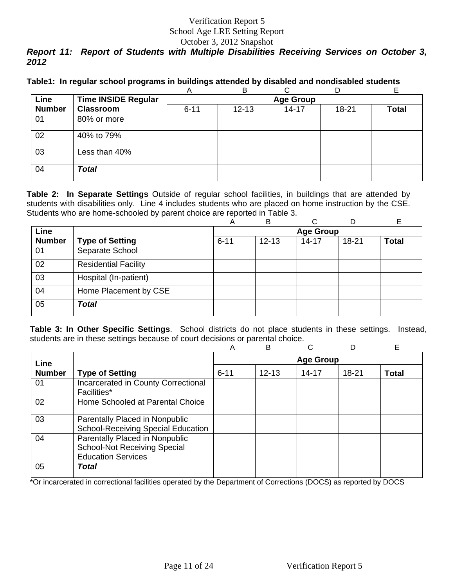# Verification Report 5 School Age LRE Setting Report

#### October 3, 2012 Snapshot

# *Report 11: Report of Students with Multiple Disabilities Receiving Services on October 3, 2012*

|  |  | Table1: In regular school programs in buildings attended by disabled and nondisabled students |
|--|--|-----------------------------------------------------------------------------------------------|
|  |  |                                                                                               |

|               |                            | A        | B         |                  |       |       |
|---------------|----------------------------|----------|-----------|------------------|-------|-------|
| Line          | <b>Time INSIDE Regular</b> |          |           | <b>Age Group</b> |       |       |
| <b>Number</b> | <b>Classroom</b>           | $6 - 11$ | $12 - 13$ | $14 - 17$        | 18-21 | Total |
| 01            | 80% or more                |          |           |                  |       |       |
| 02            | 40% to 79%                 |          |           |                  |       |       |
| 03            | Less than 40%              |          |           |                  |       |       |
| 04            | <b>Total</b>               |          |           |                  |       |       |

**Table 2: In Separate Settings** Outside of regular school facilities, in buildings that are attended by students with disabilities only. Line 4 includes students who are placed on home instruction by the CSE. Students who are home-schooled by parent choice are reported in Table 3.

|               |                             | Α                | B         | C         |           |              |  |  |  |  |  |  |
|---------------|-----------------------------|------------------|-----------|-----------|-----------|--------------|--|--|--|--|--|--|
| Line          |                             | <b>Age Group</b> |           |           |           |              |  |  |  |  |  |  |
| <b>Number</b> | <b>Type of Setting</b>      | $6 - 11$         | $12 - 13$ | $14 - 17$ | $18 - 21$ | <b>Total</b> |  |  |  |  |  |  |
| 01            | Separate School             |                  |           |           |           |              |  |  |  |  |  |  |
| 02            | <b>Residential Facility</b> |                  |           |           |           |              |  |  |  |  |  |  |
| 03            | Hospital (In-patient)       |                  |           |           |           |              |  |  |  |  |  |  |
| 04            | Home Placement by CSE       |                  |           |           |           |              |  |  |  |  |  |  |
| 05            | <b>Total</b>                |                  |           |           |           |              |  |  |  |  |  |  |

**Table 3: In Other Specific Settings**. School districts do not place students in these settings. Instead, students are in these settings because of court decisions or parental choice.

|               |                                                                                                    | A        | B         |                  | D     | Е            |
|---------------|----------------------------------------------------------------------------------------------------|----------|-----------|------------------|-------|--------------|
| Line          |                                                                                                    |          |           | <b>Age Group</b> |       |              |
| <b>Number</b> | <b>Type of Setting</b>                                                                             | $6 - 11$ | $12 - 13$ | $14 - 17$        | 18-21 | <b>Total</b> |
| 01            | Incarcerated in County Correctional<br><b>Facilities*</b>                                          |          |           |                  |       |              |
| 02            | Home Schooled at Parental Choice                                                                   |          |           |                  |       |              |
| 03            | Parentally Placed in Nonpublic<br><b>School-Receiving Special Education</b>                        |          |           |                  |       |              |
| 04            | Parentally Placed in Nonpublic<br><b>School-Not Receiving Special</b><br><b>Education Services</b> |          |           |                  |       |              |
| 05            | Total                                                                                              |          |           |                  |       |              |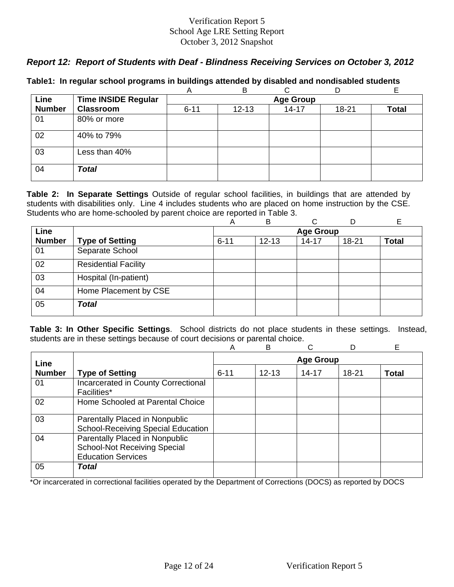# *Report 12: Report of Students with Deaf - Blindness Receiving Services on October 3, 2012*

|               |                            | A        | B         |                  |       |       |
|---------------|----------------------------|----------|-----------|------------------|-------|-------|
| Line          | <b>Time INSIDE Regular</b> |          |           | <b>Age Group</b> |       |       |
| <b>Number</b> | <b>Classroom</b>           | $6 - 11$ | $12 - 13$ | $14 - 17$        | 18-21 | Total |
| 01            | 80% or more                |          |           |                  |       |       |
| 02            | 40% to 79%                 |          |           |                  |       |       |
| 03            | Less than 40%              |          |           |                  |       |       |
| 04            | <b>Total</b>               |          |           |                  |       |       |

### **Table1: In regular school programs in buildings attended by disabled and nondisabled students**

**Table 2: In Separate Settings** Outside of regular school facilities, in buildings that are attended by students with disabilities only. Line 4 includes students who are placed on home instruction by the CSE. Students who are home-schooled by parent choice are reported in Table 3.

|               |                             | A        | B         |                  |       | E            |
|---------------|-----------------------------|----------|-----------|------------------|-------|--------------|
| Line          |                             |          |           | <b>Age Group</b> |       |              |
| <b>Number</b> | <b>Type of Setting</b>      | $6 - 11$ | $12 - 13$ | $14 - 17$        | 18-21 | <b>Total</b> |
| 01            | Separate School             |          |           |                  |       |              |
| 02            | <b>Residential Facility</b> |          |           |                  |       |              |
| 03            | Hospital (In-patient)       |          |           |                  |       |              |
| 04            | Home Placement by CSE       |          |           |                  |       |              |
| 05            | <b>Total</b>                |          |           |                  |       |              |

**Table 3: In Other Specific Settings**. School districts do not place students in these settings. Instead, students are in these settings because of court decisions or parental choice.

|               |                                                                                                    | A        | B         |                  | D         | Е            |
|---------------|----------------------------------------------------------------------------------------------------|----------|-----------|------------------|-----------|--------------|
| Line          |                                                                                                    |          |           | <b>Age Group</b> |           |              |
| <b>Number</b> | <b>Type of Setting</b>                                                                             | $6 - 11$ | $12 - 13$ | $14 - 17$        | $18 - 21$ | <b>Total</b> |
| 01            | Incarcerated in County Correctional<br><b>Facilities*</b>                                          |          |           |                  |           |              |
| 02            | Home Schooled at Parental Choice                                                                   |          |           |                  |           |              |
| 03            | Parentally Placed in Nonpublic<br><b>School-Receiving Special Education</b>                        |          |           |                  |           |              |
| 04            | Parentally Placed in Nonpublic<br><b>School-Not Receiving Special</b><br><b>Education Services</b> |          |           |                  |           |              |
| 05            | Total                                                                                              |          |           |                  |           |              |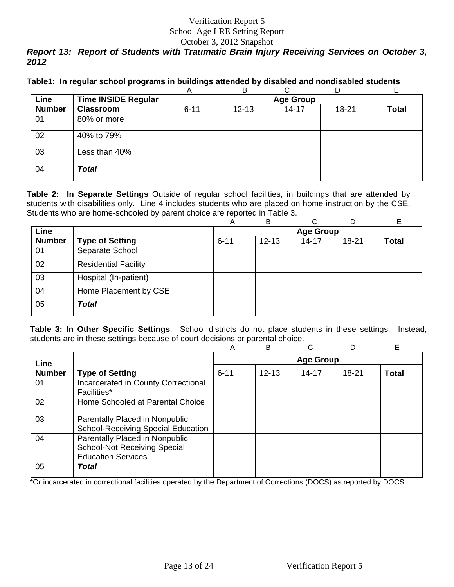# *Report 13: Report of Students with Traumatic Brain Injury Receiving Services on October 3, 2012*

|  |  |  | Table1: In regular school programs in buildings attended by disabled and nondisabled students |
|--|--|--|-----------------------------------------------------------------------------------------------|
|  |  |  |                                                                                               |

|               |                            | A        | B         |                  |       |       |
|---------------|----------------------------|----------|-----------|------------------|-------|-------|
| Line          | <b>Time INSIDE Regular</b> |          |           | <b>Age Group</b> |       |       |
| <b>Number</b> | <b>Classroom</b>           | $6 - 11$ | $12 - 13$ | $14 - 17$        | 18-21 | Total |
| 01            | 80% or more                |          |           |                  |       |       |
| 02            | 40% to 79%                 |          |           |                  |       |       |
| 03            | Less than 40%              |          |           |                  |       |       |
| 04            | <b>Total</b>               |          |           |                  |       |       |

**Table 2: In Separate Settings** Outside of regular school facilities, in buildings that are attended by students with disabilities only. Line 4 includes students who are placed on home instruction by the CSE. Students who are home-schooled by parent choice are reported in Table 3.

|               |                             | Α                | в         | C         |           |              |  |  |  |  |  |  |
|---------------|-----------------------------|------------------|-----------|-----------|-----------|--------------|--|--|--|--|--|--|
| Line          |                             | <b>Age Group</b> |           |           |           |              |  |  |  |  |  |  |
| <b>Number</b> | <b>Type of Setting</b>      | $6 - 11$         | $12 - 13$ | $14 - 17$ | $18 - 21$ | <b>Total</b> |  |  |  |  |  |  |
| 01            | Separate School             |                  |           |           |           |              |  |  |  |  |  |  |
| 02            | <b>Residential Facility</b> |                  |           |           |           |              |  |  |  |  |  |  |
| 03            | Hospital (In-patient)       |                  |           |           |           |              |  |  |  |  |  |  |
| 04            | Home Placement by CSE       |                  |           |           |           |              |  |  |  |  |  |  |
| 05            | Total                       |                  |           |           |           |              |  |  |  |  |  |  |

**Table 3: In Other Specific Settings**. School districts do not place students in these settings. Instead, students are in these settings because of court decisions or parental choice.

|               |                                                                                                    | Α        | B                |       | D         | E.           |  |  |  |  |
|---------------|----------------------------------------------------------------------------------------------------|----------|------------------|-------|-----------|--------------|--|--|--|--|
| Line          |                                                                                                    |          | <b>Age Group</b> |       |           |              |  |  |  |  |
| <b>Number</b> | <b>Type of Setting</b>                                                                             | $6 - 11$ | $12 - 13$        | 14-17 | $18 - 21$ | <b>Total</b> |  |  |  |  |
| 01            | Incarcerated in County Correctional<br>Facilities*                                                 |          |                  |       |           |              |  |  |  |  |
| 02            | Home Schooled at Parental Choice                                                                   |          |                  |       |           |              |  |  |  |  |
| 03            | Parentally Placed in Nonpublic<br><b>School-Receiving Special Education</b>                        |          |                  |       |           |              |  |  |  |  |
| 04            | Parentally Placed in Nonpublic<br><b>School-Not Receiving Special</b><br><b>Education Services</b> |          |                  |       |           |              |  |  |  |  |
| 05            | Total                                                                                              |          |                  |       |           |              |  |  |  |  |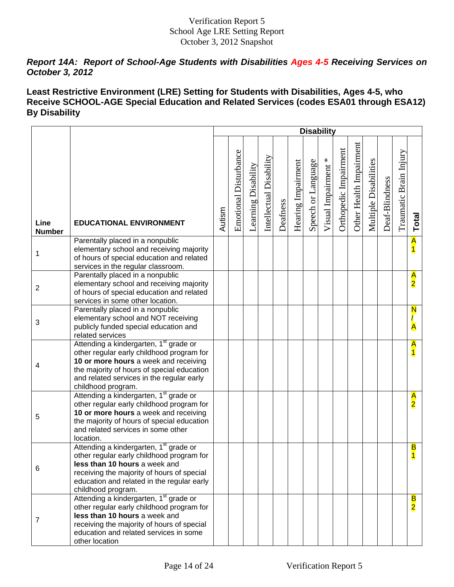# *Report 14A: Report of School-Age Students with Disabilities Ages 4-5 Receiving Services on October 3, 2012*

# **Least Restrictive Environment (LRE) Setting for Students with Disabilities, Ages 4-5, who Receive SCHOOL-AGE Special Education and Related Services (codes ESA01 through ESA12) By Disability**

|                       |                                                                                                                                                                                                                                                           |        |                       |                     |                         |          |                    | <b>Disability</b>  |                     |                       |                         |                       |                |                        |                                 |
|-----------------------|-----------------------------------------------------------------------------------------------------------------------------------------------------------------------------------------------------------------------------------------------------------|--------|-----------------------|---------------------|-------------------------|----------|--------------------|--------------------|---------------------|-----------------------|-------------------------|-----------------------|----------------|------------------------|---------------------------------|
| Line<br><b>Number</b> | <b>EDUCATIONAL ENVIRONMENT</b>                                                                                                                                                                                                                            | Autism | Emotional Disturbance | Learning Disability | Intellectual Disability | Deafness | Hearing Impairment | Speech or Language | Visual Impairment * | Orthopedic Impairment | Other Health Impairment | Multiple Disabilities | Deaf-Blindness | Traumatic Brain Injury | Total                           |
| 1                     | Parentally placed in a nonpublic<br>elementary school and receiving majority<br>of hours of special education and related<br>services in the regular classroom.                                                                                           |        |                       |                     |                         |          |                    |                    |                     |                       |                         |                       |                |                        | A                               |
| $\overline{2}$        | Parentally placed in a nonpublic<br>elementary school and receiving majority<br>of hours of special education and related<br>services in some other location.                                                                                             |        |                       |                     |                         |          |                    |                    |                     |                       |                         |                       |                |                        | A<br>$\overline{2}$             |
| 3                     | Parentally placed in a nonpublic<br>elementary school and NOT receiving<br>publicly funded special education and<br>related services                                                                                                                      |        |                       |                     |                         |          |                    |                    |                     |                       |                         |                       |                |                        | N                               |
| 4                     | Attending a kindergarten, 1 <sup>st</sup> grade or<br>other regular early childhood program for<br>10 or more hours a week and receiving<br>the majority of hours of special education<br>and related services in the regular early<br>childhood program. |        |                       |                     |                         |          |                    |                    |                     |                       |                         |                       |                |                        | A                               |
| 5                     | Attending a kindergarten, 1 <sup>st</sup> grade or<br>other regular early childhood program for<br>10 or more hours a week and receiving<br>the majority of hours of special education<br>and related services in some other<br>location.                 |        |                       |                     |                         |          |                    |                    |                     |                       |                         |                       |                |                        | $\frac{\mathsf{A}}{\mathsf{2}}$ |
| 6                     | Attending a kindergarten, 1 <sup>st</sup> grade or<br>other regular early childhood program for<br>less than 10 hours a week and<br>receiving the majority of hours of special<br>education and related in the regular early<br>childhood program.        |        |                       |                     |                         |          |                    |                    |                     |                       |                         |                       |                |                        | B                               |
| 7                     | Attending a kindergarten, 1 <sup>st</sup> grade or<br>other regular early childhood program for<br>less than 10 hours a week and<br>receiving the majority of hours of special<br>education and related services in some<br>other location                |        |                       |                     |                         |          |                    |                    |                     |                       |                         |                       |                |                        | B<br>$\overline{\mathbf{2}}$    |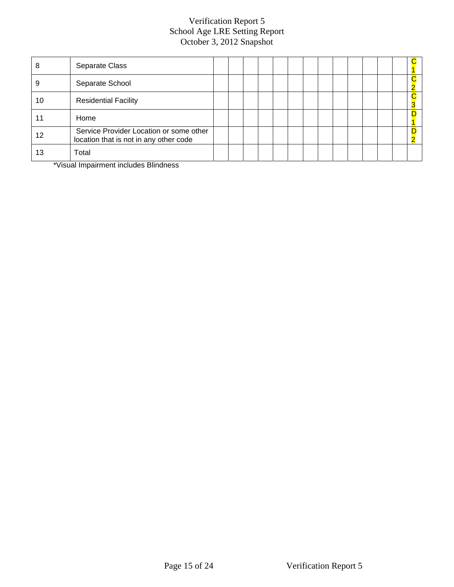| 8  | Separate Class                                                                    |  |  |  |  |  |  |  |
|----|-----------------------------------------------------------------------------------|--|--|--|--|--|--|--|
|    | Separate School                                                                   |  |  |  |  |  |  |  |
| 10 | <b>Residential Facility</b>                                                       |  |  |  |  |  |  |  |
|    | Home                                                                              |  |  |  |  |  |  |  |
| 12 | Service Provider Location or some other<br>location that is not in any other code |  |  |  |  |  |  |  |
| 13 | Total                                                                             |  |  |  |  |  |  |  |

\*Visual Impairment includes Blindness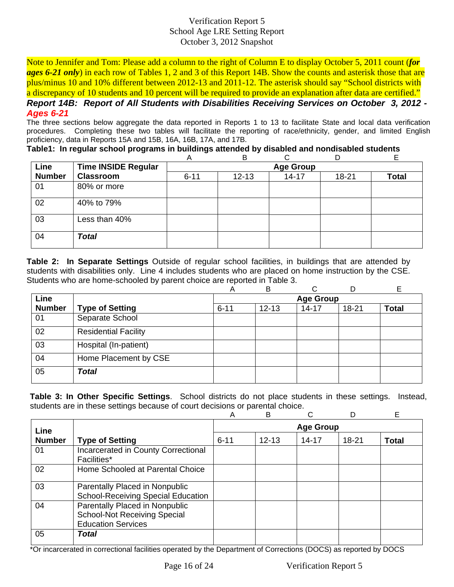Note to Jennifer and Tom: Please add a column to the right of Column E to display October 5, 2011 count (*for ages 6-21 only*) in each row of Tables 1, 2 and 3 of this Report 14B. Show the counts and asterisk those that are plus/minus 10 and 10% different between 2012-13 and 2011-12. The asterisk should say "School districts with a discrepancy of 10 students and 10 percent will be required to provide an explanation after data are certified."

*Report 14B: Report of All Students with Disabilities Receiving Services on October 3, 2012 - Ages 6-21*

The three sections below aggregate the data reported in Reports 1 to 13 to facilitate State and local data verification procedures. Completing these two tables will facilitate the reporting of race/ethnicity, gender, and limited English proficiency, data in Reports 15A and 15B, 16A, 16B, 17A, and 17B.

**Table1: In regular school programs in buildings attended by disabled and nondisabled students** 

|               |                            | A                | в         |           | D     | Ē     |  |  |  |  |  |
|---------------|----------------------------|------------------|-----------|-----------|-------|-------|--|--|--|--|--|
| Line          | <b>Time INSIDE Regular</b> | <b>Age Group</b> |           |           |       |       |  |  |  |  |  |
| <b>Number</b> | <b>Classroom</b>           | $6 - 11$         | $12 - 13$ | $14 - 17$ | 18-21 | Total |  |  |  |  |  |
| 01            | 80% or more                |                  |           |           |       |       |  |  |  |  |  |
| 02            | 40% to 79%                 |                  |           |           |       |       |  |  |  |  |  |
| 03            | Less than 40%              |                  |           |           |       |       |  |  |  |  |  |
| 04            | <b>Total</b>               |                  |           |           |       |       |  |  |  |  |  |

**Table 2: In Separate Settings** Outside of regular school facilities, in buildings that are attended by students with disabilities only. Line 4 includes students who are placed on home instruction by the CSE. Students who are home-schooled by parent choice are reported in Table 3.

|               |                             | Α                | в         | ⌒         |           |              |  |  |  |  |
|---------------|-----------------------------|------------------|-----------|-----------|-----------|--------------|--|--|--|--|
| Line          |                             | <b>Age Group</b> |           |           |           |              |  |  |  |  |
| <b>Number</b> | <b>Type of Setting</b>      | $6 - 11$         | $12 - 13$ | $14 - 17$ | $18 - 21$ | <b>Total</b> |  |  |  |  |
| 01            | Separate School             |                  |           |           |           |              |  |  |  |  |
| 02            | <b>Residential Facility</b> |                  |           |           |           |              |  |  |  |  |
| 03            | Hospital (In-patient)       |                  |           |           |           |              |  |  |  |  |
| 04            | Home Placement by CSE       |                  |           |           |           |              |  |  |  |  |
| 05            | <b>Total</b>                |                  |           |           |           |              |  |  |  |  |

**Table 3: In Other Specific Settings**. School districts do not place students in these settings. Instead, students are in these settings because of court decisions or parental choice.

|               |                                                                                                    | Α        | B                |           |       | Е            |
|---------------|----------------------------------------------------------------------------------------------------|----------|------------------|-----------|-------|--------------|
| Line          |                                                                                                    |          | <b>Age Group</b> |           |       |              |
| <b>Number</b> | <b>Type of Setting</b>                                                                             | $6 - 11$ | $12 - 13$        | $14 - 17$ | 18-21 | <b>Total</b> |
| 01            | Incarcerated in County Correctional<br>Facilities*                                                 |          |                  |           |       |              |
| 02            | Home Schooled at Parental Choice                                                                   |          |                  |           |       |              |
| 03            | Parentally Placed in Nonpublic<br><b>School-Receiving Special Education</b>                        |          |                  |           |       |              |
| 04            | Parentally Placed in Nonpublic<br><b>School-Not Receiving Special</b><br><b>Education Services</b> |          |                  |           |       |              |
| 05            | Total                                                                                              |          |                  |           |       |              |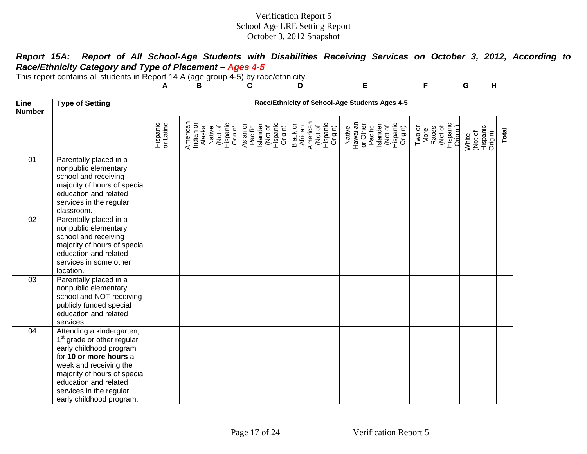# *Report 15A: Report of All School-Age Students with Disabilities Receiving Services on October 3, 2012, According to Race/Ethnicity Category and Type of Placement – Ages 4-5*

This report contains all students in Report 14 A (age group 4-5) by race/ethnicity.

|                       |                                                                                                                                                                                                                                                                    | A                     | В                                                                           | С                                                                 | D                                                                 | Е                                                                                         | F                                                          | G<br>H                                  |       |
|-----------------------|--------------------------------------------------------------------------------------------------------------------------------------------------------------------------------------------------------------------------------------------------------------------|-----------------------|-----------------------------------------------------------------------------|-------------------------------------------------------------------|-------------------------------------------------------------------|-------------------------------------------------------------------------------------------|------------------------------------------------------------|-----------------------------------------|-------|
| Line<br><b>Number</b> | <b>Type of Setting</b>                                                                                                                                                                                                                                             |                       |                                                                             |                                                                   |                                                                   | Race/Ethnicity of School-Age Students Ages 4-5                                            |                                                            |                                         |       |
|                       |                                                                                                                                                                                                                                                                    | Hispanic<br>or Latino | American<br>Indian or<br>Native<br>(Not of<br>Hispanic<br>Origin)<br>Alaska | Islander<br>(Not of<br>Hispanic<br>Asian or<br>Pacific<br>Origin) | Black or<br>African<br>American<br>(Not of<br>Hispanic<br>Origin) | Native<br>Hawaiian<br>Or Other<br>Pacific<br>Pacific<br>Citypanic<br>Citypanic<br>Origin) | (Not of<br>Hispanic<br>Origin )<br>Two or<br>More<br>Races | Hispanic<br>Origin)<br>(Not of<br>White | Total |
| 01                    | Parentally placed in a<br>nonpublic elementary<br>school and receiving<br>majority of hours of special<br>education and related<br>services in the regular<br>classroom.                                                                                           |                       |                                                                             |                                                                   |                                                                   |                                                                                           |                                                            |                                         |       |
| 02                    | Parentally placed in a<br>nonpublic elementary<br>school and receiving<br>majority of hours of special<br>education and related<br>services in some other<br>location.                                                                                             |                       |                                                                             |                                                                   |                                                                   |                                                                                           |                                                            |                                         |       |
| 03                    | Parentally placed in a<br>nonpublic elementary<br>school and NOT receiving<br>publicly funded special<br>education and related<br>services                                                                                                                         |                       |                                                                             |                                                                   |                                                                   |                                                                                           |                                                            |                                         |       |
| 04                    | Attending a kindergarten,<br>1 <sup>st</sup> grade or other regular<br>early childhood program<br>for 10 or more hours a<br>week and receiving the<br>majority of hours of special<br>education and related<br>services in the regular<br>early childhood program. |                       |                                                                             |                                                                   |                                                                   |                                                                                           |                                                            |                                         |       |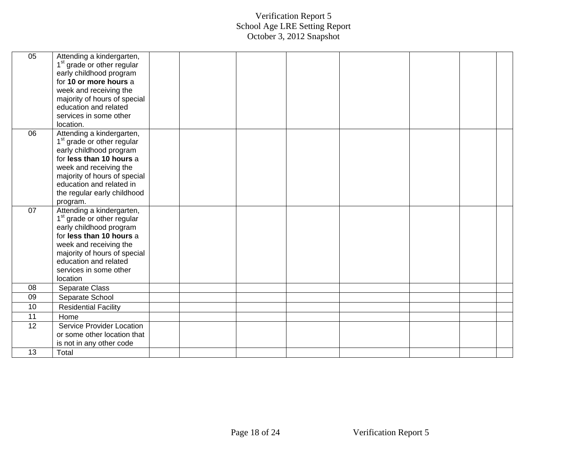| 05 | Attending a kindergarten,              |  |  |  |  |
|----|----------------------------------------|--|--|--|--|
|    | 1 <sup>st</sup> grade or other regular |  |  |  |  |
|    | early childhood program                |  |  |  |  |
|    | for 10 or more hours a                 |  |  |  |  |
|    | week and receiving the                 |  |  |  |  |
|    | majority of hours of special           |  |  |  |  |
|    | education and related                  |  |  |  |  |
|    | services in some other                 |  |  |  |  |
|    | location.                              |  |  |  |  |
| 06 | Attending a kindergarten,              |  |  |  |  |
|    | 1 <sup>st</sup> grade or other regular |  |  |  |  |
|    | early childhood program                |  |  |  |  |
|    | for less than 10 hours a               |  |  |  |  |
|    | week and receiving the                 |  |  |  |  |
|    | majority of hours of special           |  |  |  |  |
|    | education and related in               |  |  |  |  |
|    | the regular early childhood            |  |  |  |  |
|    | program.                               |  |  |  |  |
| 07 | Attending a kindergarten,              |  |  |  |  |
|    | 1 <sup>st</sup> grade or other regular |  |  |  |  |
|    | early childhood program                |  |  |  |  |
|    | for less than 10 hours a               |  |  |  |  |
|    | week and receiving the                 |  |  |  |  |
|    | majority of hours of special           |  |  |  |  |
|    | education and related                  |  |  |  |  |
|    | services in some other                 |  |  |  |  |
|    | location                               |  |  |  |  |
| 08 | Separate Class                         |  |  |  |  |
| 09 | Separate School                        |  |  |  |  |
| 10 | <b>Residential Facility</b>            |  |  |  |  |
| 11 | Home                                   |  |  |  |  |
| 12 | Service Provider Location              |  |  |  |  |
|    | or some other location that            |  |  |  |  |
|    | is not in any other code               |  |  |  |  |
| 13 | Total                                  |  |  |  |  |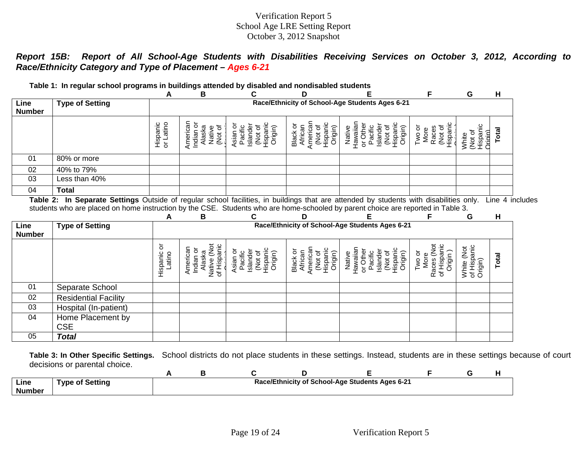*Report 15B: Report of All School-Age Students with Disabilities Receiving Services on October 3, 2012, According to Race/Ethnicity Category and Type of Placement – Ages 6-21*

|                       | Table 1: In regular school programs in buildings attended by disabled and nondisabled students                                         |                       |                                                               |                                                                   |                                                                   |                                                                                         |                                                        |                                               |                 |
|-----------------------|----------------------------------------------------------------------------------------------------------------------------------------|-----------------------|---------------------------------------------------------------|-------------------------------------------------------------------|-------------------------------------------------------------------|-----------------------------------------------------------------------------------------|--------------------------------------------------------|-----------------------------------------------|-----------------|
|                       |                                                                                                                                        | A                     | в                                                             | C                                                                 | D                                                                 |                                                                                         | F                                                      | G                                             | н               |
| Line<br><b>Number</b> | <b>Type of Setting</b>                                                                                                                 |                       |                                                               |                                                                   |                                                                   | Race/Ethnicity of School-Age Students Ages 6-21                                         |                                                        |                                               |                 |
|                       |                                                                                                                                        | Hispanic<br>or Latino | American<br>Indian or<br>Alaska<br>Native<br>(Not of          | Hispanic<br>Asian or<br>Islander<br>Pacific<br>(Not of<br>Origin) | American<br>Hispanic<br>Black or<br>African<br>(Not of<br>Origin) | Hawaiian<br>or Other<br>Hispanic<br>Islander<br>(Not of<br>Pacific<br>Native<br>Origin) | Hispanic<br>Two or<br>(Not of<br>Races<br>More         | Hispanic<br>(Not of<br><b>Drigin</b><br>White | Total           |
| 01                    | 80% or more                                                                                                                            |                       |                                                               |                                                                   |                                                                   |                                                                                         |                                                        |                                               |                 |
| 02                    | 40% to 79%                                                                                                                             |                       |                                                               |                                                                   |                                                                   |                                                                                         |                                                        |                                               |                 |
| 03                    | Less than 40%                                                                                                                          |                       |                                                               |                                                                   |                                                                   |                                                                                         |                                                        |                                               |                 |
|                       | <b>Total</b>                                                                                                                           |                       |                                                               |                                                                   |                                                                   |                                                                                         |                                                        |                                               |                 |
| 04                    | Table 2: In Separate Settings Outside of regular school facilities, in buildings that are attended by students with disabilities only. |                       |                                                               |                                                                   |                                                                   |                                                                                         |                                                        |                                               | Line 4 includes |
|                       | students who are placed on home instruction by the CSE. Students who are home-schooled by parent choice are reported in Table 3.       | A                     | В                                                             |                                                                   |                                                                   |                                                                                         |                                                        | G                                             | н               |
| Line<br><b>Number</b> | <b>Type of Setting</b>                                                                                                                 |                       |                                                               |                                                                   |                                                                   | Race/Ethnicity of School-Age Students Ages 6-21                                         |                                                        |                                               |                 |
|                       |                                                                                                                                        | Hispanic or<br>Latino | Native (Not<br>of Hispanic<br>American<br>Indian or<br>Alaska | Hispanic<br>Asian or<br>Islander<br>Pacific<br>(Not of<br>Origin) | American<br>Hispanic<br>Black or<br>African<br>(Not of<br>Origin) | Hawaiian<br>or Other<br>(Not of<br>Hispanic<br>Islander<br>Pacific<br>Native<br>Origin) | Races (Not<br>of Hispanic<br>Origin)<br>Two or<br>More | of Hispanic<br>Origin)<br>White (Not          | Total           |
| 01                    | Separate School                                                                                                                        |                       |                                                               |                                                                   |                                                                   |                                                                                         |                                                        |                                               |                 |
| 02                    | <b>Residential Facility</b>                                                                                                            |                       |                                                               |                                                                   |                                                                   |                                                                                         |                                                        |                                               |                 |
| 03                    | Hospital (In-patient)                                                                                                                  |                       |                                                               |                                                                   |                                                                   |                                                                                         |                                                        |                                               |                 |
| 04                    | Home Placement by<br><b>CSE</b>                                                                                                        |                       |                                                               |                                                                   |                                                                   |                                                                                         |                                                        |                                               |                 |

**Table 3: In Other Specific Settings.** School districts do not place students in these settings. Instead, students are in these settings because of court decisions or parental choice.

| Line<br><b>Number</b> | <b>Type of Setting</b> |  |  | Race/Ethnicity of School-Age Students Ages 6-21 |  |  |
|-----------------------|------------------------|--|--|-------------------------------------------------|--|--|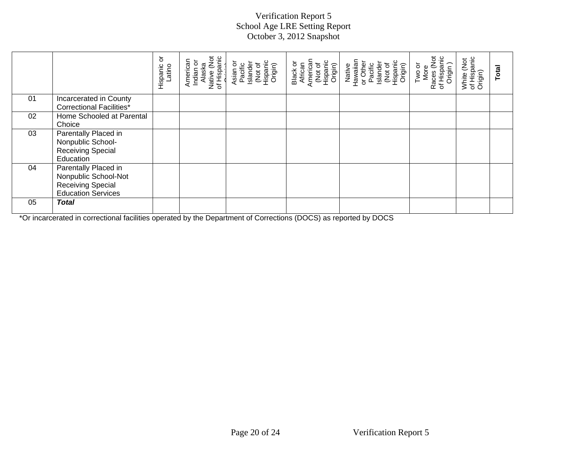|    |                                                                                                       | ŏ<br>Hispanic<br>Latino | Indian or<br>Alaska<br>Native (Not<br>of Hispanic<br>American | Asian or<br>Pacific<br>Islander<br>(Not of<br>Hispanic<br>Origin) | Hispanic<br>Origin)<br>Black or<br>African<br>American<br>(Not of | (Not of<br>Hispanic<br>Origin)<br>Native<br>Hawaiian<br>or Other<br>Pacific<br>Islander | Races (Not<br>of Hispanic<br>Origin )<br>Two or<br>More | White (Not<br>of Hispanic<br>Origin) | Total |
|----|-------------------------------------------------------------------------------------------------------|-------------------------|---------------------------------------------------------------|-------------------------------------------------------------------|-------------------------------------------------------------------|-----------------------------------------------------------------------------------------|---------------------------------------------------------|--------------------------------------|-------|
| 01 | Incarcerated in County<br><b>Correctional Facilities*</b>                                             |                         |                                                               |                                                                   |                                                                   |                                                                                         |                                                         |                                      |       |
| 02 | Home Schooled at Parental<br>Choice                                                                   |                         |                                                               |                                                                   |                                                                   |                                                                                         |                                                         |                                      |       |
| 03 | Parentally Placed in<br>Nonpublic School-<br><b>Receiving Special</b><br>Education                    |                         |                                                               |                                                                   |                                                                   |                                                                                         |                                                         |                                      |       |
| 04 | Parentally Placed in<br>Nonpublic School-Not<br><b>Receiving Special</b><br><b>Education Services</b> |                         |                                                               |                                                                   |                                                                   |                                                                                         |                                                         |                                      |       |
| 05 | <b>Total</b>                                                                                          |                         |                                                               |                                                                   |                                                                   |                                                                                         |                                                         |                                      |       |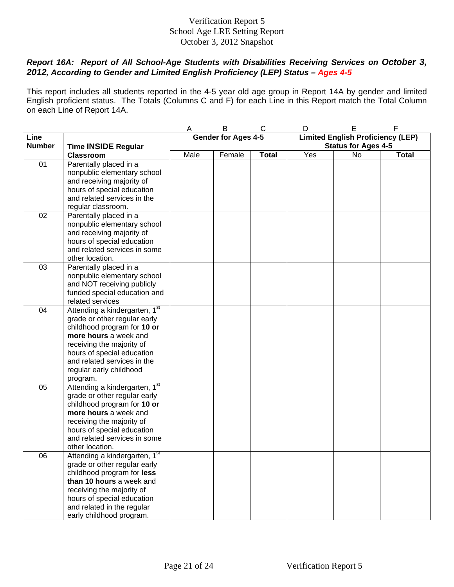## *Report 16A: Report of All School-Age Students with Disabilities Receiving Services on October 3, 2012, According to Gender and Limited English Proficiency (LEP) Status – Ages 4-5*

This report includes all students reported in the 4-5 year old age group in Report 14A by gender and limited English proficient status. The Totals (Columns C and F) for each Line in this Report match the Total Column on each Line of Report 14A.

|               |                               | A    | B                   | C            | D   | E                                        | $\mathsf F$  |
|---------------|-------------------------------|------|---------------------|--------------|-----|------------------------------------------|--------------|
| Line          |                               |      | Gender for Ages 4-5 |              |     | <b>Limited English Proficiency (LEP)</b> |              |
| <b>Number</b> | <b>Time INSIDE Regular</b>    |      |                     |              |     | <b>Status for Ages 4-5</b>               |              |
|               | <b>Classroom</b>              | Male | Female              | <b>Total</b> | Yes | No                                       | <b>Total</b> |
| 01            | Parentally placed in a        |      |                     |              |     |                                          |              |
|               | nonpublic elementary school   |      |                     |              |     |                                          |              |
|               | and receiving majority of     |      |                     |              |     |                                          |              |
|               | hours of special education    |      |                     |              |     |                                          |              |
|               | and related services in the   |      |                     |              |     |                                          |              |
|               | regular classroom.            |      |                     |              |     |                                          |              |
| 02            | Parentally placed in a        |      |                     |              |     |                                          |              |
|               | nonpublic elementary school   |      |                     |              |     |                                          |              |
|               | and receiving majority of     |      |                     |              |     |                                          |              |
|               | hours of special education    |      |                     |              |     |                                          |              |
|               | and related services in some  |      |                     |              |     |                                          |              |
|               | other location.               |      |                     |              |     |                                          |              |
| 03            | Parentally placed in a        |      |                     |              |     |                                          |              |
|               | nonpublic elementary school   |      |                     |              |     |                                          |              |
|               | and NOT receiving publicly    |      |                     |              |     |                                          |              |
|               | funded special education and  |      |                     |              |     |                                          |              |
|               | related services              |      |                     |              |     |                                          |              |
| 04            | Attending a kindergarten, 1st |      |                     |              |     |                                          |              |
|               | grade or other regular early  |      |                     |              |     |                                          |              |
|               | childhood program for 10 or   |      |                     |              |     |                                          |              |
|               | more hours a week and         |      |                     |              |     |                                          |              |
|               | receiving the majority of     |      |                     |              |     |                                          |              |
|               | hours of special education    |      |                     |              |     |                                          |              |
|               | and related services in the   |      |                     |              |     |                                          |              |
|               | regular early childhood       |      |                     |              |     |                                          |              |
|               | program.                      |      |                     |              |     |                                          |              |
| 05            | Attending a kindergarten, 1st |      |                     |              |     |                                          |              |
|               | grade or other regular early  |      |                     |              |     |                                          |              |
|               | childhood program for 10 or   |      |                     |              |     |                                          |              |
|               | more hours a week and         |      |                     |              |     |                                          |              |
|               | receiving the majority of     |      |                     |              |     |                                          |              |
|               | hours of special education    |      |                     |              |     |                                          |              |
|               | and related services in some  |      |                     |              |     |                                          |              |
|               | other location.               |      |                     |              |     |                                          |              |
| 06            | Attending a kindergarten, 1st |      |                     |              |     |                                          |              |
|               | grade or other regular early  |      |                     |              |     |                                          |              |
|               | childhood program for less    |      |                     |              |     |                                          |              |
|               | than 10 hours a week and      |      |                     |              |     |                                          |              |
|               | receiving the majority of     |      |                     |              |     |                                          |              |
|               | hours of special education    |      |                     |              |     |                                          |              |
|               | and related in the regular    |      |                     |              |     |                                          |              |
|               |                               |      |                     |              |     |                                          |              |
|               | early childhood program.      |      |                     |              |     |                                          |              |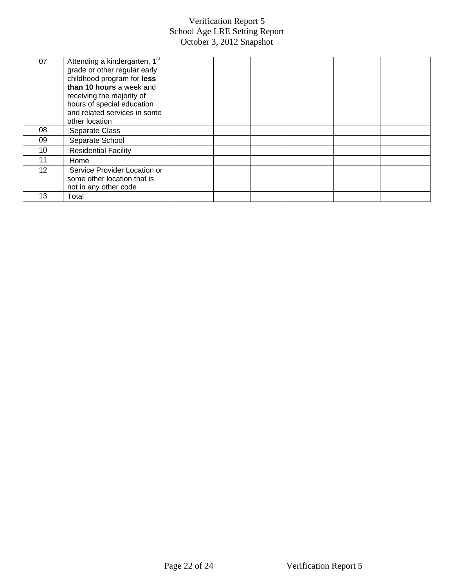| 07 | Attending a kindergarten, 1 <sup>st</sup><br>grade or other regular early<br>childhood program for less<br>than 10 hours a week and<br>receiving the majority of<br>hours of special education<br>and related services in some<br>other location |  |  |  |
|----|--------------------------------------------------------------------------------------------------------------------------------------------------------------------------------------------------------------------------------------------------|--|--|--|
| 08 | Separate Class                                                                                                                                                                                                                                   |  |  |  |
| 09 | Separate School                                                                                                                                                                                                                                  |  |  |  |
| 10 | <b>Residential Facility</b>                                                                                                                                                                                                                      |  |  |  |
| 11 | Home                                                                                                                                                                                                                                             |  |  |  |
| 12 | Service Provider Location or<br>some other location that is<br>not in any other code                                                                                                                                                             |  |  |  |
| 13 | Total                                                                                                                                                                                                                                            |  |  |  |